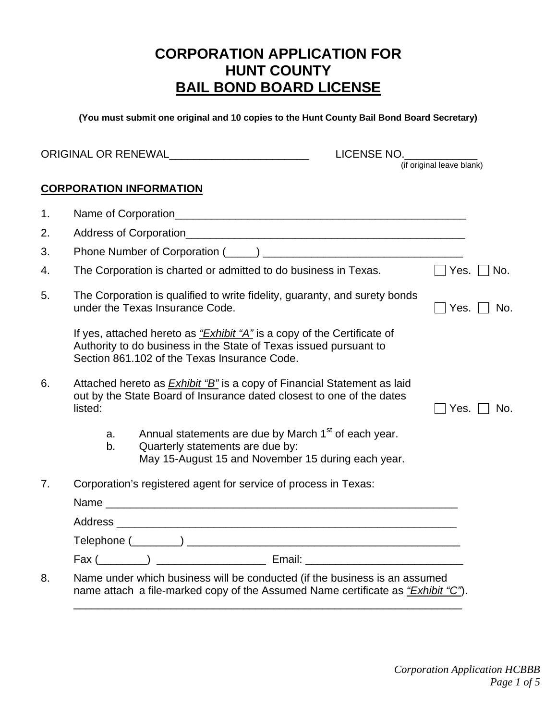# **CORPORATION APPLICATION FOR HUNT COUNTY BAIL BOND BOARD LICENSE**

**(You must submit one original and 10 copies to the Hunt County Bail Bond Board Secretary)** 

|    |          |                                                                                                                                                                                              | LICENSE NO.               |                |
|----|----------|----------------------------------------------------------------------------------------------------------------------------------------------------------------------------------------------|---------------------------|----------------|
|    |          |                                                                                                                                                                                              | (if original leave blank) |                |
|    |          | <b>CORPORATION INFORMATION</b>                                                                                                                                                               |                           |                |
| 1. |          |                                                                                                                                                                                              |                           |                |
| 2. |          |                                                                                                                                                                                              |                           |                |
| 3. |          |                                                                                                                                                                                              |                           |                |
| 4. |          | The Corporation is charted or admitted to do business in Texas.                                                                                                                              | $\Box$ Yes.               | No.            |
| 5. |          | The Corporation is qualified to write fidelity, guaranty, and surety bonds<br>under the Texas Insurance Code.                                                                                |                           | Yes. $ $   No. |
|    |          | If yes, attached hereto as "Exhibit "A" is a copy of the Certificate of<br>Authority to do business in the State of Texas issued pursuant to<br>Section 861,102 of the Texas Insurance Code. |                           |                |
| 6. | listed:  | Attached hereto as <b>Exhibit "B"</b> is a copy of Financial Statement as laid<br>out by the State Board of Insurance dated closest to one of the dates                                      | Yes. $\vert \ \vert$      | No.            |
|    | a.<br>b. | Annual statements are due by March 1 <sup>st</sup> of each year.<br>Quarterly statements are due by:<br>May 15-August 15 and November 15 during each year.                                   |                           |                |
| 7. |          | Corporation's registered agent for service of process in Texas:                                                                                                                              |                           |                |
|    |          |                                                                                                                                                                                              |                           |                |
|    |          |                                                                                                                                                                                              |                           |                |
|    |          |                                                                                                                                                                                              |                           |                |
|    |          |                                                                                                                                                                                              |                           |                |
| 8. |          | Name under which business will be conducted (if the business is an assumed<br>name attach a file-marked copy of the Assumed Name certificate as "Exhibit "C").                               |                           |                |

\_\_\_\_\_\_\_\_\_\_\_\_\_\_\_\_\_\_\_\_\_\_\_\_\_\_\_\_\_\_\_\_\_\_\_\_\_\_\_\_\_\_\_\_\_\_\_\_\_\_\_\_\_\_\_\_\_\_\_\_\_\_\_\_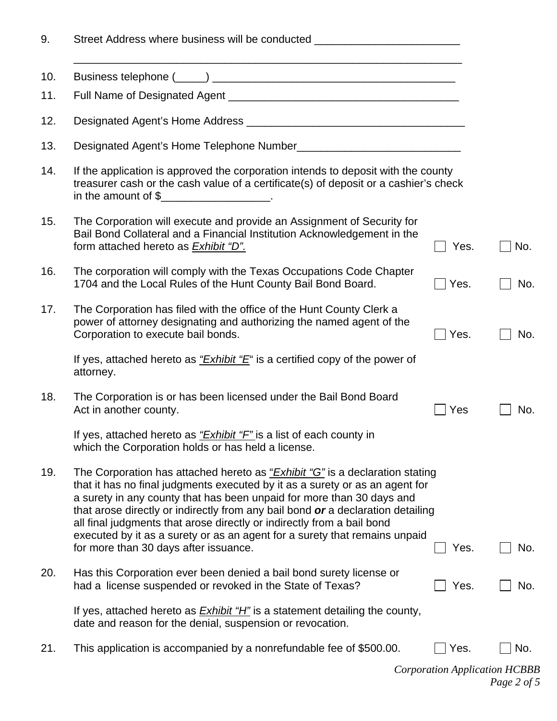| 9.  | Street Address where business will be conducted ________________________________                                                                                                                                                                                                                                                                                                                                                                                                         |      |     |
|-----|------------------------------------------------------------------------------------------------------------------------------------------------------------------------------------------------------------------------------------------------------------------------------------------------------------------------------------------------------------------------------------------------------------------------------------------------------------------------------------------|------|-----|
| 10. |                                                                                                                                                                                                                                                                                                                                                                                                                                                                                          |      |     |
| 11. |                                                                                                                                                                                                                                                                                                                                                                                                                                                                                          |      |     |
| 12. |                                                                                                                                                                                                                                                                                                                                                                                                                                                                                          |      |     |
| 13. |                                                                                                                                                                                                                                                                                                                                                                                                                                                                                          |      |     |
| 14. | If the application is approved the corporation intends to deposit with the county<br>treasurer cash or the cash value of a certificate(s) of deposit or a cashier's check<br>in the amount of $\frac{1}{2}$ [100] $\frac{1}{2}$ [100] $\frac{1}{2}$ [100] $\frac{1}{2}$ [100] $\frac{1}{2}$ [100] $\frac{1}{2}$ [100] $\frac{1}{2}$ [100] $\frac{1}{2}$ [100] $\frac{1}{2}$ [100] $\frac{1}{2}$ [100] $\frac{1}{2}$ [100] $\frac{1}{2}$ [100] $\frac{1}{2}$ [1                           |      |     |
| 15. | The Corporation will execute and provide an Assignment of Security for<br>Bail Bond Collateral and a Financial Institution Acknowledgement in the<br>form attached hereto as <b>Exhibit "D"</b> .                                                                                                                                                                                                                                                                                        | Yes. | No. |
| 16. | The corporation will comply with the Texas Occupations Code Chapter<br>1704 and the Local Rules of the Hunt County Bail Bond Board.                                                                                                                                                                                                                                                                                                                                                      | Yes. | No. |
| 17. | The Corporation has filed with the office of the Hunt County Clerk a<br>power of attorney designating and authorizing the named agent of the<br>Corporation to execute bail bonds.                                                                                                                                                                                                                                                                                                       | Yes. | No. |
|     | If yes, attached hereto as $Exhibit EE$ is a certified copy of the power of<br>attorney.                                                                                                                                                                                                                                                                                                                                                                                                 |      |     |
| 18. | The Corporation is or has been licensed under the Bail Bond Board<br>Act in another county.                                                                                                                                                                                                                                                                                                                                                                                              | Yes  | No. |
|     | If yes, attached hereto as "Exhibit "F" is a list of each county in<br>which the Corporation holds or has held a license.                                                                                                                                                                                                                                                                                                                                                                |      |     |
| 19. | The Corporation has attached hereto as " <i>Exhibit "G"</i> is a declaration stating<br>that it has no final judgments executed by it as a surety or as an agent for<br>a surety in any county that has been unpaid for more than 30 days and<br>that arose directly or indirectly from any bail bond or a declaration detailing<br>all final judgments that arose directly or indirectly from a bail bond<br>executed by it as a surety or as an agent for a surety that remains unpaid |      |     |
|     | for more than 30 days after issuance.                                                                                                                                                                                                                                                                                                                                                                                                                                                    | Yes. | No. |
| 20. | Has this Corporation ever been denied a bail bond surety license or<br>had a license suspended or revoked in the State of Texas?                                                                                                                                                                                                                                                                                                                                                         | Yes. | No. |
|     | If yes, attached hereto as <i>Exhibit "H</i> " is a statement detailing the county,<br>date and reason for the denial, suspension or revocation.                                                                                                                                                                                                                                                                                                                                         |      |     |
| 21. | This application is accompanied by a nonrefundable fee of \$500.00.                                                                                                                                                                                                                                                                                                                                                                                                                      | Yes. | No. |

*Corporation Application HCBBB Page 2 of 5*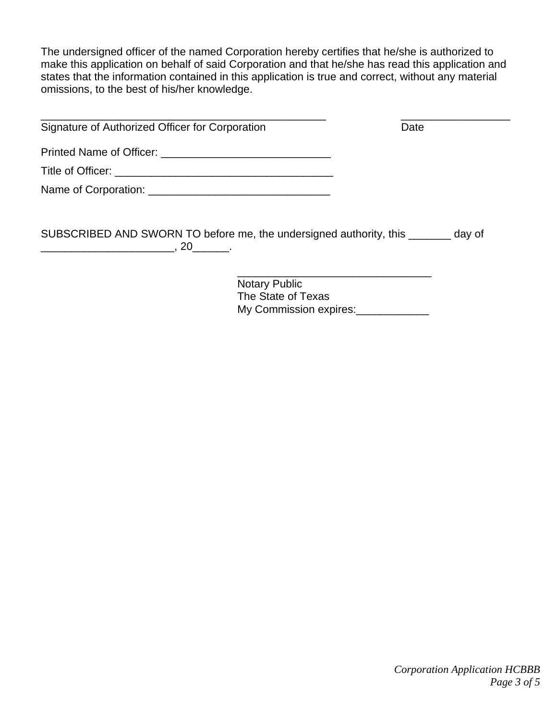The undersigned officer of the named Corporation hereby certifies that he/she is authorized to make this application on behalf of said Corporation and that he/she has read this application and states that the information contained in this application is true and correct, without any material omissions, to the best of his/her knowledge.

| Date |  |
|------|--|
|      |  |
|      |  |
|      |  |
|      |  |
|      |  |

SUBSCRIBED AND SWORN TO before me, the undersigned authority, this \_\_\_\_\_\_\_ day of  $\overline{\phantom{a}... \phantom{a}}$ , 20 $\overline{\phantom{a}... \phantom{a}}$ .

> Notary Public The State of Texas My Commission expires:

 $\_$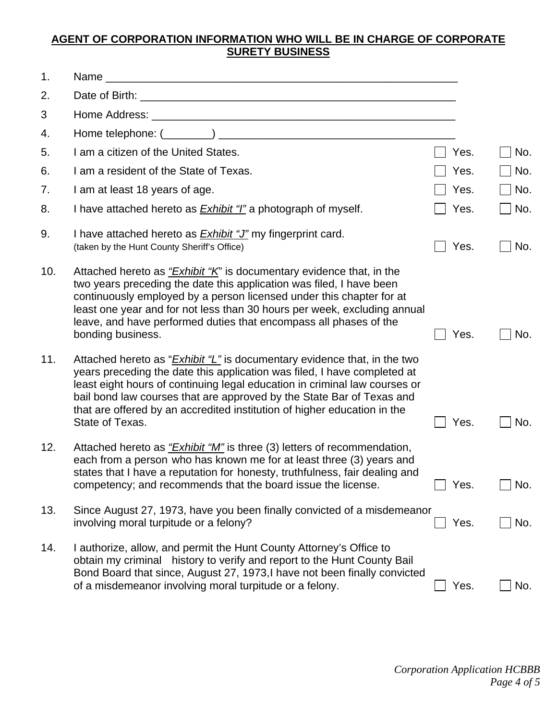### **AGENT OF CORPORATION INFORMATION WHO WILL BE IN CHARGE OF CORPORATE SURETY BUSINESS**

| 1.  |                                                                                                                                                                                                                                                                                                                                                                                                                    |      |     |
|-----|--------------------------------------------------------------------------------------------------------------------------------------------------------------------------------------------------------------------------------------------------------------------------------------------------------------------------------------------------------------------------------------------------------------------|------|-----|
| 2.  |                                                                                                                                                                                                                                                                                                                                                                                                                    |      |     |
| 3   |                                                                                                                                                                                                                                                                                                                                                                                                                    |      |     |
| 4.  |                                                                                                                                                                                                                                                                                                                                                                                                                    |      |     |
| 5.  | I am a citizen of the United States.                                                                                                                                                                                                                                                                                                                                                                               | Yes. | No. |
| 6.  | I am a resident of the State of Texas.                                                                                                                                                                                                                                                                                                                                                                             | Yes. | No. |
| 7.  | I am at least 18 years of age.                                                                                                                                                                                                                                                                                                                                                                                     | Yes. | No. |
| 8.  | I have attached hereto as <b>Exhibit "I"</b> a photograph of myself.                                                                                                                                                                                                                                                                                                                                               | Yes. | No. |
| 9.  | I have attached hereto as <b>Exhibit "J"</b> my fingerprint card.<br>(taken by the Hunt County Sheriff's Office)                                                                                                                                                                                                                                                                                                   | Yes. | No. |
| 10. | Attached hereto as "Exhibit "K" is documentary evidence that, in the<br>two years preceding the date this application was filed, I have been<br>continuously employed by a person licensed under this chapter for at<br>least one year and for not less than 30 hours per week, excluding annual<br>leave, and have performed duties that encompass all phases of the<br>bonding business.                         | Yes. | No. |
| 11. | Attached hereto as " <i>Exhibit "L"</i> is documentary evidence that, in the two<br>years preceding the date this application was filed, I have completed at<br>least eight hours of continuing legal education in criminal law courses or<br>bail bond law courses that are approved by the State Bar of Texas and<br>that are offered by an accredited institution of higher education in the<br>State of Texas. | Yes. | No. |
| 12. | Attached hereto as "Exhibit "M" is three (3) letters of recommendation,<br>each from a person who has known me for at least three (3) years and<br>states that I have a reputation for honesty, truthfulness, fair dealing and<br>competency; and recommends that the board issue the license.                                                                                                                     | Yes. | No. |
| 13. | Since August 27, 1973, have you been finally convicted of a misdemeanor<br>involving moral turpitude or a felony?                                                                                                                                                                                                                                                                                                  | Yes. | No. |
| 14. | I authorize, allow, and permit the Hunt County Attorney's Office to<br>obtain my criminal history to verify and report to the Hunt County Bail<br>Bond Board that since, August 27, 1973, I have not been finally convicted<br>of a misdemeanor involving moral turpitude or a felony.                                                                                                                             | Yes. | No. |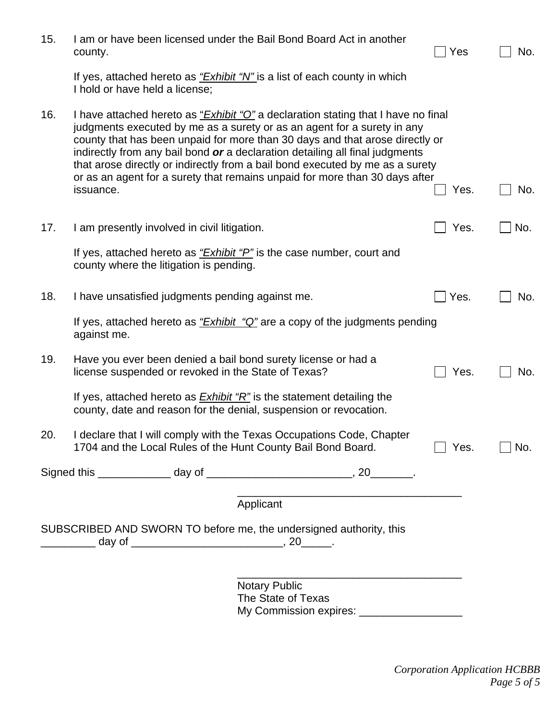| 15. | county.                                                     | I am or have been licensed under the Bail Bond Board Act in another                                                                                                                                                                                                                                                                                                                                                                                                                                  | Yes  | No. |
|-----|-------------------------------------------------------------|------------------------------------------------------------------------------------------------------------------------------------------------------------------------------------------------------------------------------------------------------------------------------------------------------------------------------------------------------------------------------------------------------------------------------------------------------------------------------------------------------|------|-----|
|     | I hold or have held a license;                              | If yes, attached hereto as " <i>Exhibit</i> "N" is a list of each county in which                                                                                                                                                                                                                                                                                                                                                                                                                    |      |     |
| 16. | issuance.                                                   | I have attached hereto as " <i>Exhibit "O"</i> a declaration stating that I have no final<br>judgments executed by me as a surety or as an agent for a surety in any<br>county that has been unpaid for more than 30 days and that arose directly or<br>indirectly from any bail bond or a declaration detailing all final judgments<br>that arose directly or indirectly from a bail bond executed by me as a surety<br>or as an agent for a surety that remains unpaid for more than 30 days after | Yes. | No. |
| 17. | I am presently involved in civil litigation.                |                                                                                                                                                                                                                                                                                                                                                                                                                                                                                                      | Yes. | No. |
|     | county where the litigation is pending.                     | If yes, attached hereto as "Exhibit "P" is the case number, court and                                                                                                                                                                                                                                                                                                                                                                                                                                |      |     |
| 18. | I have unsatisfied judgments pending against me.            |                                                                                                                                                                                                                                                                                                                                                                                                                                                                                                      | Yes. | No. |
|     | against me.                                                 | If yes, attached hereto as $Exhibit$ "Q" are a copy of the judgments pending                                                                                                                                                                                                                                                                                                                                                                                                                         |      |     |
| 19. | license suspended or revoked in the State of Texas?         | Have you ever been denied a bail bond surety license or had a                                                                                                                                                                                                                                                                                                                                                                                                                                        | Yes. | No. |
|     |                                                             | If yes, attached hereto as $Exhibit 'R''$ is the statement detailing the<br>county, date and reason for the denial, suspension or revocation.                                                                                                                                                                                                                                                                                                                                                        |      |     |
| 20. |                                                             | I declare that I will comply with the Texas Occupations Code, Chapter<br>1704 and the Local Rules of the Hunt County Bail Bond Board.                                                                                                                                                                                                                                                                                                                                                                | Yes. | No. |
|     |                                                             | Signed this ________________ day of _________________________________, 20_________.                                                                                                                                                                                                                                                                                                                                                                                                                  |      |     |
|     |                                                             | Applicant                                                                                                                                                                                                                                                                                                                                                                                                                                                                                            |      |     |
|     |                                                             | SUBSCRIBED AND SWORN TO before me, the undersigned authority, this                                                                                                                                                                                                                                                                                                                                                                                                                                   |      |     |
|     | __________ day of ______________________________, 20______. |                                                                                                                                                                                                                                                                                                                                                                                                                                                                                                      |      |     |
|     |                                                             | <b>Notary Public</b><br>The State of Texas<br>My Commission expires: __________________                                                                                                                                                                                                                                                                                                                                                                                                              |      |     |
|     |                                                             |                                                                                                                                                                                                                                                                                                                                                                                                                                                                                                      |      |     |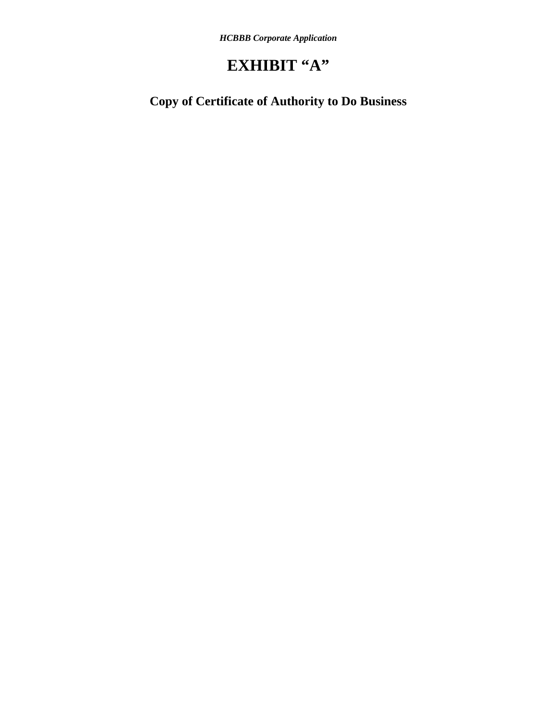# **EXHIBIT "A"**

**Copy of Certificate of Authority to Do Business**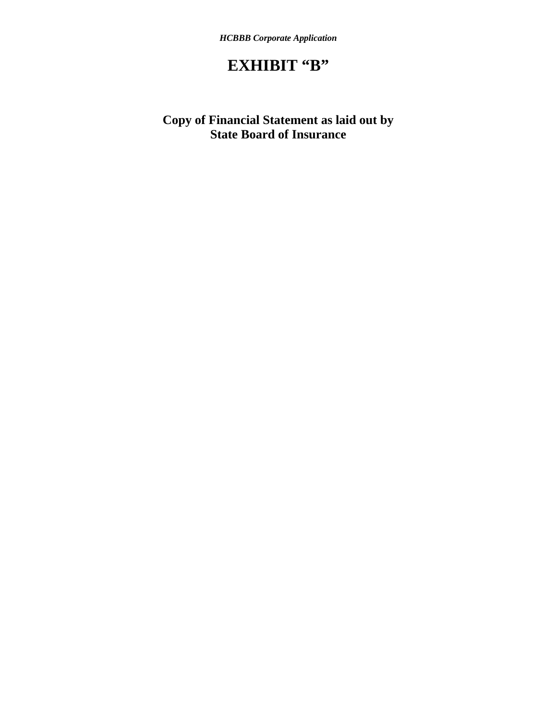# **EXHIBIT "B"**

## **Copy of Financial Statement as laid out by State Board of Insurance**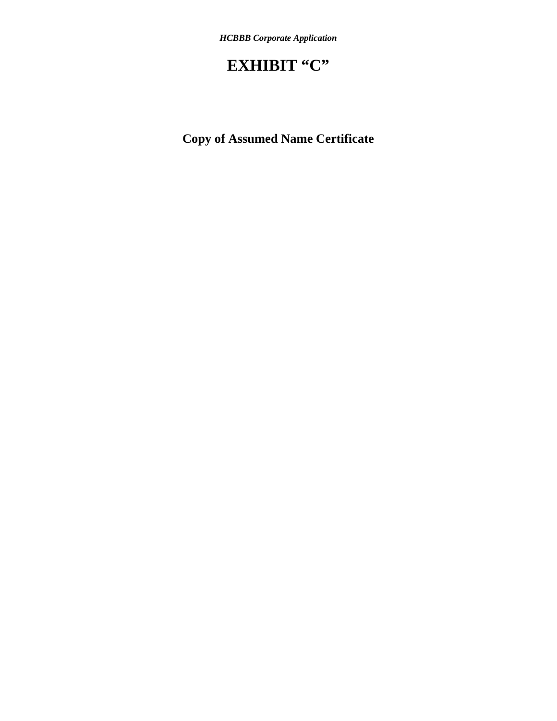# **EXHIBIT "C"**

**Copy of Assumed Name Certificate**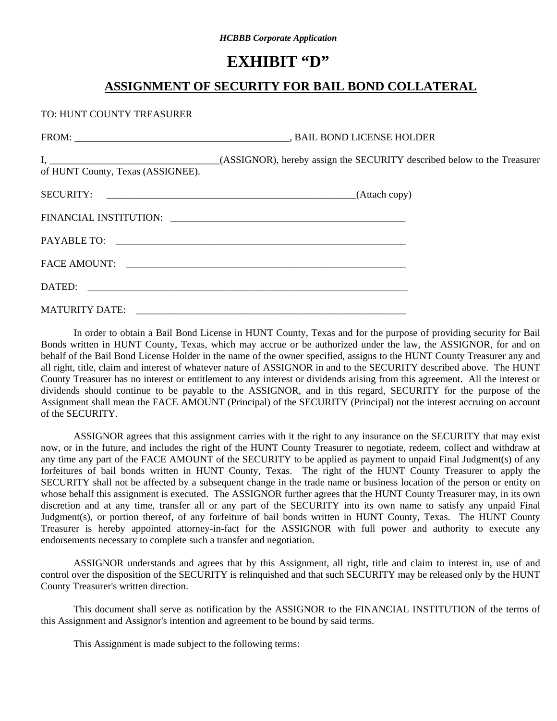# **EXHIBIT "D"**

## **ASSIGNMENT OF SECURITY FOR BAIL BOND COLLATERAL**

TO: HUNT COUNTY TREASURER

| of HUNT County, Texas (ASSIGNEE). |  |
|-----------------------------------|--|
|                                   |  |
|                                   |  |
|                                   |  |
|                                   |  |
|                                   |  |
|                                   |  |

 In order to obtain a Bail Bond License in HUNT County, Texas and for the purpose of providing security for Bail Bonds written in HUNT County, Texas, which may accrue or be authorized under the law, the ASSIGNOR, for and on behalf of the Bail Bond License Holder in the name of the owner specified, assigns to the HUNT County Treasurer any and all right, title, claim and interest of whatever nature of ASSIGNOR in and to the SECURITY described above. The HUNT County Treasurer has no interest or entitlement to any interest or dividends arising from this agreement. All the interest or dividends should continue to be payable to the ASSIGNOR, and in this regard, SECURITY for the purpose of the Assignment shall mean the FACE AMOUNT (Principal) of the SECURITY (Principal) not the interest accruing on account of the SECURITY.

 ASSIGNOR agrees that this assignment carries with it the right to any insurance on the SECURITY that may exist now, or in the future, and includes the right of the HUNT County Treasurer to negotiate, redeem, collect and withdraw at any time any part of the FACE AMOUNT of the SECURITY to be applied as payment to unpaid Final Judgment(s) of any forfeitures of bail bonds written in HUNT County, Texas. The right of the HUNT County Treasurer to apply the SECURITY shall not be affected by a subsequent change in the trade name or business location of the person or entity on whose behalf this assignment is executed. The ASSIGNOR further agrees that the HUNT County Treasurer may, in its own discretion and at any time, transfer all or any part of the SECURITY into its own name to satisfy any unpaid Final Judgment(s), or portion thereof, of any forfeiture of bail bonds written in HUNT County, Texas. The HUNT County Treasurer is hereby appointed attorney-in-fact for the ASSIGNOR with full power and authority to execute any endorsements necessary to complete such a transfer and negotiation.

 ASSIGNOR understands and agrees that by this Assignment, all right, title and claim to interest in, use of and control over the disposition of the SECURITY is relinquished and that such SECURITY may be released only by the HUNT County Treasurer's written direction.

 This document shall serve as notification by the ASSIGNOR to the FINANCIAL INSTITUTION of the terms of this Assignment and Assignor's intention and agreement to be bound by said terms.

This Assignment is made subject to the following terms: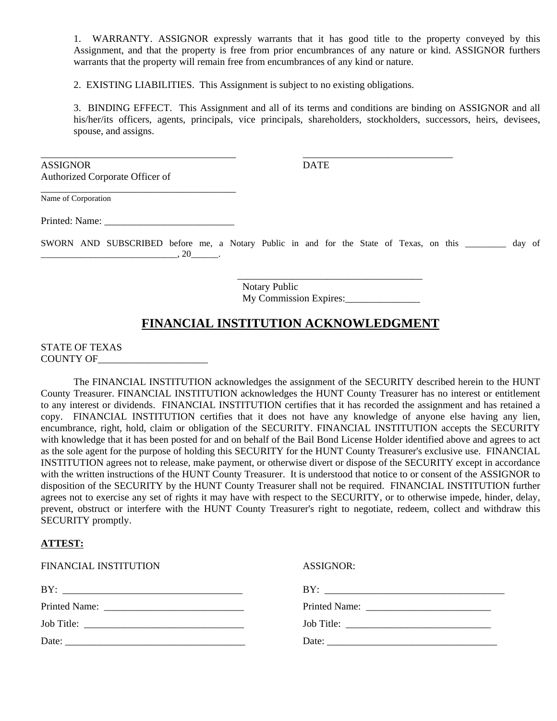1. WARRANTY. ASSIGNOR expressly warrants that it has good title to the property conveyed by this Assignment, and that the property is free from prior encumbrances of any nature or kind. ASSIGNOR furthers warrants that the property will remain free from encumbrances of any kind or nature.

2. EXISTING LIABILITIES. This Assignment is subject to no existing obligations.

\_\_\_\_\_\_\_\_\_\_\_\_\_\_\_\_\_\_\_\_\_\_\_\_\_\_\_\_\_\_\_\_\_\_\_\_\_\_\_ \_\_\_\_\_\_\_\_\_\_\_\_\_\_\_\_\_\_\_\_\_\_\_\_\_\_\_\_\_\_

3. BINDING EFFECT. This Assignment and all of its terms and conditions are binding on ASSIGNOR and all his/her/its officers, agents, principals, vice principals, shareholders, stockholders, successors, heirs, devisees, spouse, and assigns.

ASSIGNOR DATE Authorized Corporate Officer of

Name of Corporation

Printed: Name:

\_\_\_\_\_\_\_\_\_\_\_\_\_\_\_\_\_\_\_\_\_\_\_\_\_\_\_\_\_\_\_\_\_\_\_\_\_\_\_

SWORN AND SUBSCRIBED before me, a Notary Public in and for the State of Texas, on this \_\_\_\_\_\_\_\_\_ day of  $\frac{1}{20}$ ,  $\frac{20}{100}$ .

> Notary Public My Commission Expires:\_\_\_\_\_\_\_\_\_\_\_\_\_\_\_

\_\_\_\_\_\_\_\_\_\_\_\_\_\_\_\_\_\_\_\_\_\_\_\_\_\_\_\_\_\_\_\_\_\_\_\_\_

## **FINANCIAL INSTITUTION ACKNOWLEDGMENT**

STATE OF TEXAS COUNTY OF\_\_\_\_\_\_\_\_\_\_\_\_\_\_\_\_\_\_\_\_\_\_

 The FINANCIAL INSTITUTION acknowledges the assignment of the SECURITY described herein to the HUNT County Treasurer. FINANCIAL INSTITUTION acknowledges the HUNT County Treasurer has no interest or entitlement to any interest or dividends. FINANCIAL INSTITUTION certifies that it has recorded the assignment and has retained a copy. FINANCIAL INSTITUTION certifies that it does not have any knowledge of anyone else having any lien, encumbrance, right, hold, claim or obligation of the SECURITY. FINANCIAL INSTITUTION accepts the SECURITY with knowledge that it has been posted for and on behalf of the Bail Bond License Holder identified above and agrees to act as the sole agent for the purpose of holding this SECURITY for the HUNT County Treasurer's exclusive use. FINANCIAL INSTITUTION agrees not to release, make payment, or otherwise divert or dispose of the SECURITY except in accordance with the written instructions of the HUNT County Treasurer. It is understood that notice to or consent of the ASSIGNOR to disposition of the SECURITY by the HUNT County Treasurer shall not be required. FINANCIAL INSTITUTION further agrees not to exercise any set of rights it may have with respect to the SECURITY, or to otherwise impede, hinder, delay, prevent, obstruct or interfere with the HUNT County Treasurer's right to negotiate, redeem, collect and withdraw this SECURITY promptly.

#### **ATTEST:**

| FINANCIAL INSTITUTION | ASSIGNOR:             |
|-----------------------|-----------------------|
|                       | BY:                   |
|                       |                       |
|                       |                       |
| Date: $\qquad \qquad$ | Date: $\qquad \qquad$ |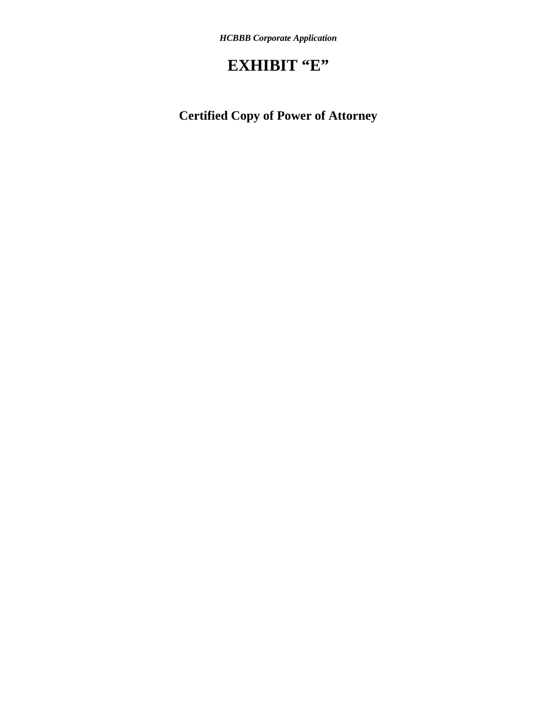# **EXHIBIT "E"**

**Certified Copy of Power of Attorney**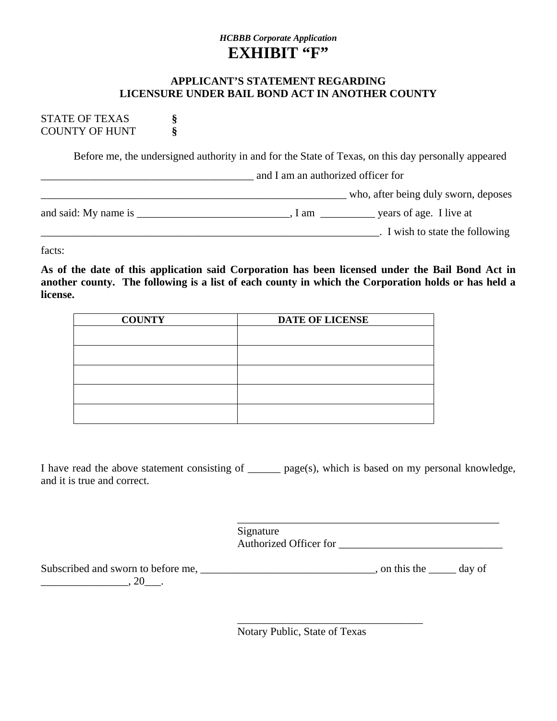## *HCBBB Corporate Application* EXHIBIT "F"

#### **APPLICANT'S STATEMENT REGARDING LICENSURE UNDER BAIL BOND ACT IN ANOTHER COUNTY**

STATE OF TEXAS **§** COUNTY OF HUNT **§**

Before me, the undersigned authority in and for the State of Texas, on this day personally appeared

\_\_\_\_\_\_\_\_\_\_\_\_\_\_\_\_\_\_\_\_\_\_\_\_\_\_\_\_\_\_\_\_\_\_\_\_\_\_\_ and I am an authorized officer for \_\_\_\_\_\_\_\_\_\_\_\_\_\_\_\_\_\_\_\_\_\_\_\_\_\_\_\_\_\_\_\_\_\_\_\_\_\_\_\_\_\_\_\_\_\_\_\_\_\_\_\_\_\_\_\_ who, after being duly sworn, deposes and said: My name is \_\_\_\_\_\_\_\_\_\_\_\_\_\_\_\_\_\_\_\_\_\_\_\_\_\_\_\_\_, I am \_\_\_\_\_\_\_\_\_\_\_\_\_\_\_ years of age. I live at \_\_\_\_\_\_\_\_\_\_\_\_\_\_\_\_\_\_\_\_\_\_\_\_\_\_\_\_\_\_\_\_\_\_\_\_\_\_\_\_\_\_\_\_\_\_\_\_\_\_\_\_\_\_\_\_\_\_\_\_\_\_. I wish to state the following

facts:

**As of the date of this application said Corporation has been licensed under the Bail Bond Act in another county. The following is a list of each county in which the Corporation holds or has held a license.** 

| <b>COUNTY</b> | <b>DATE OF LICENSE</b> |
|---------------|------------------------|
|               |                        |
|               |                        |
|               |                        |
|               |                        |
|               |                        |

I have read the above statement consisting of \_\_\_\_\_\_ page(s), which is based on my personal knowledge, and it is true and correct.

| Signature              |
|------------------------|
| Authorized Officer for |

| Subscribed and sworn to before me, | , on this the | day of |
|------------------------------------|---------------|--------|
|                                    |               |        |

 $\overline{\phantom{a}}$  , which is a set of the set of the set of the set of the set of the set of the set of the set of the set of the set of the set of the set of the set of the set of the set of the set of the set of the set of th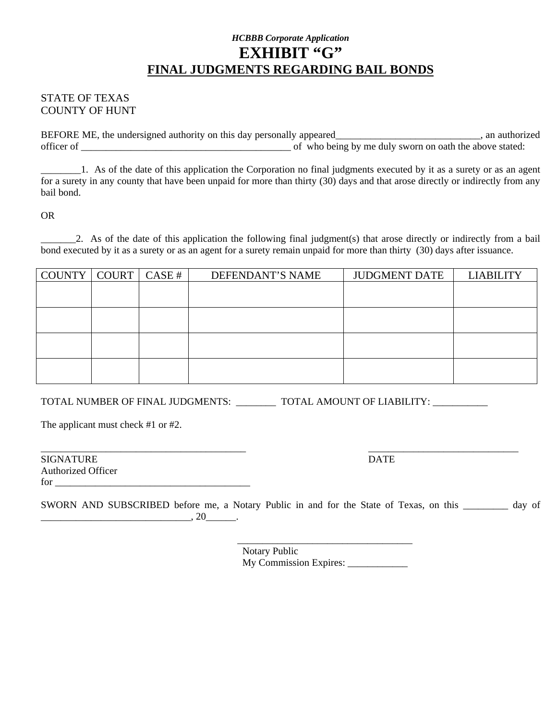## *HCBBB Corporate Application* EXHIBIT "G" **FINAL JUDGMENTS REGARDING BAIL BONDS**

#### STATE OF TEXAS COUNTY OF HUNT

BEFORE ME, the undersigned authority on this day personally appeared\_\_\_\_\_\_\_\_\_\_\_\_\_\_\_\_\_\_\_\_\_\_\_\_\_\_\_\_, an authorized officer of \_\_\_\_\_\_\_\_\_\_\_\_\_\_\_\_\_\_\_\_\_\_\_\_\_\_\_\_\_\_\_\_\_\_\_\_\_\_\_\_\_\_ of who being by me duly sworn on oath the above stated:

\_\_\_\_\_\_\_\_1. As of the date of this application the Corporation no final judgments executed by it as a surety or as an agent for a surety in any county that have been unpaid for more than thirty (30) days and that arose directly or indirectly from any bail bond.

OR

2. As of the date of this application the following final judgment(s) that arose directly or indirectly from a bail bond executed by it as a surety or as an agent for a surety remain unpaid for more than thirty (30) days after issuance.

| COUNTY   COUNT   CASE # |  | DEFENDANT'S NAME | <b>JUDGMENT DATE</b> | <b>LIABILITY</b> |
|-------------------------|--|------------------|----------------------|------------------|
|                         |  |                  |                      |                  |
|                         |  |                  |                      |                  |
|                         |  |                  |                      |                  |
|                         |  |                  |                      |                  |
|                         |  |                  |                      |                  |
|                         |  |                  |                      |                  |
|                         |  |                  |                      |                  |
|                         |  |                  |                      |                  |

TOTAL NUMBER OF FINAL JUDGMENTS: \_\_\_\_\_\_\_\_\_\_ TOTAL AMOUNT OF LIABILITY: \_\_\_\_\_\_\_\_\_

The applicant must check #1 or #2.

| <b>SIGNATURE</b>          | <b>DATE</b> |
|---------------------------|-------------|
| <b>Authorized Officer</b> |             |
| for                       |             |

\_\_\_\_\_\_\_\_\_\_\_\_\_\_\_\_\_\_\_\_\_\_\_\_\_\_\_\_\_\_\_\_\_\_\_\_\_\_\_\_\_ \_\_\_\_\_\_\_\_\_\_\_\_\_\_\_\_\_\_\_\_\_\_\_\_\_\_\_\_\_\_

| SWORN AND SUBSCRIBED before me, a Notary Public in and for the State of Texas, on this |  |  | day of |  |
|----------------------------------------------------------------------------------------|--|--|--------|--|
|                                                                                        |  |  |        |  |

\_\_\_\_\_\_\_\_\_\_\_\_\_\_\_\_\_\_\_\_\_\_\_\_\_\_\_\_\_\_\_\_\_\_\_ Notary Public My Commission Expires: \_\_\_\_\_\_\_\_\_\_\_\_\_\_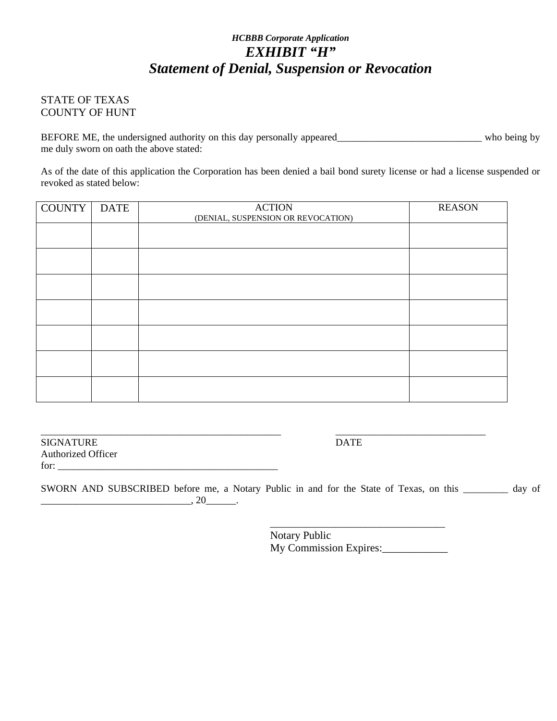## *HCBBB Corporate Application EXHIBIT "H" Statement of Denial, Suspension or Revocation*

#### STATE OF TEXAS COUNTY OF HUNT

BEFORE ME, the undersigned authority on this day personally appeared\_\_\_\_\_\_\_\_\_\_\_\_\_\_\_\_\_\_\_\_\_\_\_\_\_\_\_\_\_\_\_ who being by me duly sworn on oath the above stated:

As of the date of this application the Corporation has been denied a bail bond surety license or had a license suspended or revoked as stated below:

| <b>COUNTY</b> | <b>DATE</b> | <b>ACTION</b><br>(DENIAL, SUSPENSION OR REVOCATION) | <b>REASON</b> |
|---------------|-------------|-----------------------------------------------------|---------------|
|               |             |                                                     |               |
|               |             |                                                     |               |
|               |             |                                                     |               |
|               |             |                                                     |               |
|               |             |                                                     |               |
|               |             |                                                     |               |
|               |             |                                                     |               |

SIGNATURE DATE Authorized Officer for:  $\overline{\phantom{a}}$ 

\_\_\_\_\_\_\_\_\_\_\_\_\_\_\_\_\_\_\_\_\_\_\_\_\_\_\_\_\_\_\_\_\_\_\_\_\_\_\_\_\_\_\_\_\_\_\_\_ \_\_\_\_\_\_\_\_\_\_\_\_\_\_\_\_\_\_\_\_\_\_\_\_\_\_\_\_\_\_

SWORN AND SUBSCRIBED before me, a Notary Public in and for the State of Texas, on this \_\_\_\_\_\_\_\_\_ day of \_\_\_\_\_\_\_\_\_\_\_\_\_\_\_\_\_\_\_\_\_\_\_\_\_\_\_\_\_\_, 20\_\_\_\_\_\_.

> Notary Public My Commission Expires:

 $\frac{1}{\sqrt{2}}$  ,  $\frac{1}{\sqrt{2}}$  ,  $\frac{1}{\sqrt{2}}$  ,  $\frac{1}{\sqrt{2}}$  ,  $\frac{1}{\sqrt{2}}$  ,  $\frac{1}{\sqrt{2}}$  ,  $\frac{1}{\sqrt{2}}$  ,  $\frac{1}{\sqrt{2}}$  ,  $\frac{1}{\sqrt{2}}$  ,  $\frac{1}{\sqrt{2}}$  ,  $\frac{1}{\sqrt{2}}$  ,  $\frac{1}{\sqrt{2}}$  ,  $\frac{1}{\sqrt{2}}$  ,  $\frac{1}{\sqrt{2}}$  ,  $\frac{1}{\sqrt{2}}$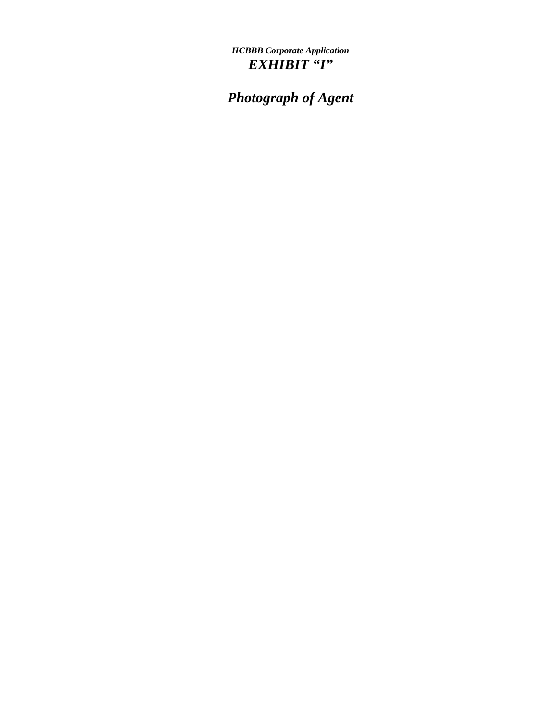*HCBBB Corporate Application EXHIBIT "I"* 

*Photograph of Agent*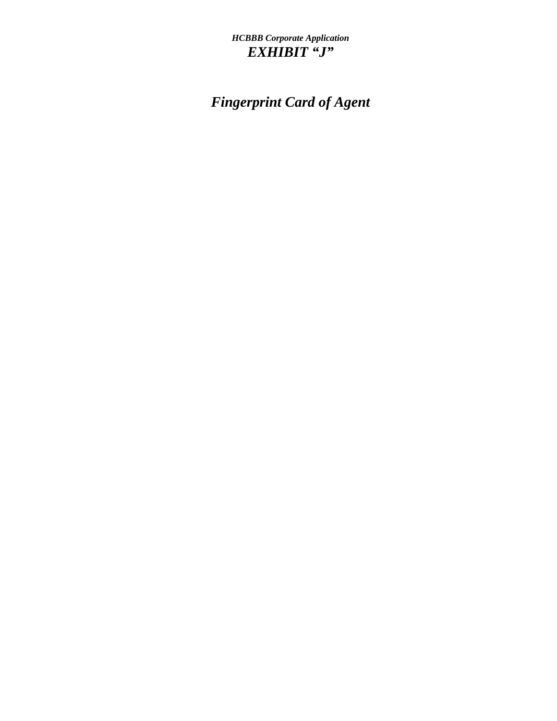## *HCBBB Corporate Application EXHIBIT "J"*

# *Fingerprint Card of Agent*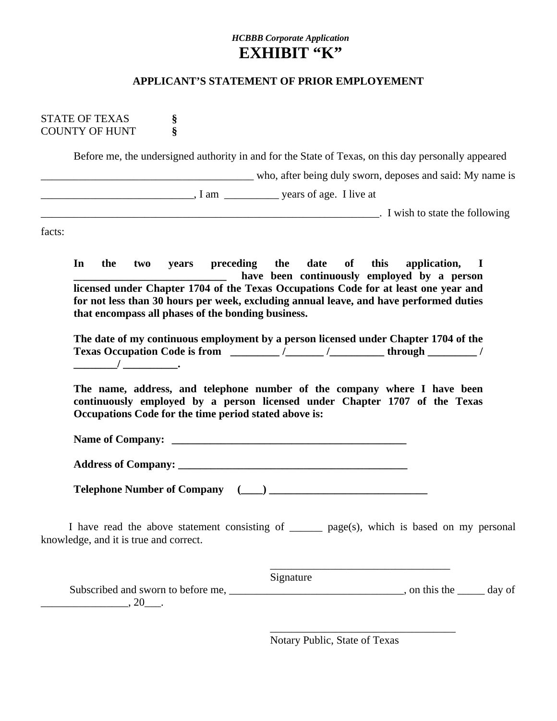### *HCBBB Corporate Application* **EXHIBIT "K"**

#### **APPLICANT'S STATEMENT OF PRIOR EMPLOYEMENT**

STATE OF TEXAS **§** COUNTY OF HUNT **§**

Before me, the undersigned authority in and for the State of Texas, on this day personally appeared

who, after being duly sworn, deposes and said: My name is

\_\_\_\_\_\_\_\_\_\_\_\_\_\_\_\_\_\_\_\_\_\_\_\_\_\_\_\_, I am \_\_\_\_\_\_\_\_\_\_ years of age. I live at

 $\Box$ 

facts:

**In the two years preceding the date of this application, I**  have been continuously employed by a person **licensed under Chapter 1704 of the Texas Occupations Code for at least one year and for not less than 30 hours per week, excluding annual leave, and have performed duties that encompass all phases of the bonding business.** 

**The date of my continuous employment by a person licensed under Chapter 1704 of the Texas Occupation Code is from \_\_\_\_\_\_\_\_\_ /\_\_\_\_\_\_\_ /\_\_\_\_\_\_\_\_\_\_ through \_\_\_\_\_\_\_\_\_ / \_\_\_\_\_\_\_\_/ \_\_\_\_\_\_\_\_\_\_.** 

**The name, address, and telephone number of the company where I have been continuously employed by a person licensed under Chapter 1707 of the Texas Occupations Code for the time period stated above is:** 

**Name of Company: \_\_\_\_\_\_\_\_\_\_\_\_\_\_\_\_\_\_\_\_\_\_\_\_\_\_\_\_\_\_\_\_\_\_\_\_\_\_\_\_\_\_\_** 

Address of Company:

**Telephone Number of Company (\_\_\_\_) \_\_\_\_\_\_\_\_\_\_\_\_\_\_\_\_\_\_\_\_\_\_\_\_\_\_\_\_\_** 

 $\overline{\phantom{a}}$  , which is a set of the set of the set of the set of the set of the set of the set of the set of the set of the set of the set of the set of the set of the set of the set of the set of the set of the set of th

 $\overline{\phantom{a}}$  , which is a set of the set of the set of the set of the set of the set of the set of the set of the set of the set of the set of the set of the set of the set of the set of the set of the set of the set of th

I have read the above statement consisting of \_\_\_\_\_\_ page(s), which is based on my personal knowledge, and it is true and correct.

Signature

Subscribed and sworn to before me, \_\_\_\_\_\_\_\_\_\_\_\_\_\_\_\_\_\_\_\_\_\_\_\_\_\_\_\_\_\_\_\_, on this the \_\_\_\_\_\_ day of  $\frac{1}{20}$ , 20\_\_\_.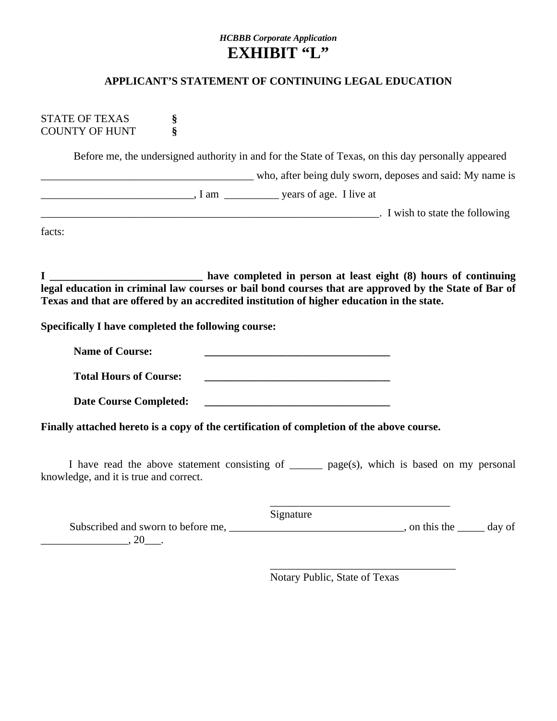### *HCBBB Corporate Application* **EXHIBIT "L"**

#### **APPLICANT'S STATEMENT OF CONTINUING LEGAL EDUCATION**

STATE OF TEXAS **§** COUNTY OF HUNT **§**

Before me, the undersigned authority in and for the State of Texas, on this day personally appeared

who, after being duly sworn, deposes and said: My name is

\_\_\_\_\_\_\_\_\_\_\_\_\_\_\_\_\_\_\_\_\_\_\_\_\_\_\_\_, I am \_\_\_\_\_\_\_\_\_\_ years of age. I live at

\_\_\_\_\_\_\_\_\_\_\_\_\_\_\_\_\_\_\_\_\_\_\_\_\_\_\_\_\_\_\_\_\_\_\_\_\_\_\_\_\_\_\_\_\_\_\_\_\_\_\_\_\_\_\_\_\_\_\_\_\_\_. I wish to state the following

facts:

**I \_\_\_\_\_\_\_\_\_\_\_\_\_\_\_\_\_\_\_\_\_\_\_\_\_\_\_\_ have completed in person at least eight (8) hours of continuing legal education in criminal law courses or bail bond courses that are approved by the State of Bar of Texas and that are offered by an accredited institution of higher education in the state.** 

**Specifically I have completed the following course:** 

Name of Course:  **Total Hours of Course: \_\_\_\_\_\_\_\_\_\_\_\_\_\_\_\_\_\_\_\_\_\_\_\_\_\_\_\_\_\_\_\_\_\_** 

Date Course Completed:

**Finally attached hereto is a copy of the certification of completion of the above course.**

 $\overline{\phantom{a}}$  , which is a set of the set of the set of the set of the set of the set of the set of the set of the set of the set of the set of the set of the set of the set of the set of the set of the set of the set of th

 $\overline{\phantom{a}}$  , which is a set of the set of the set of the set of the set of the set of the set of the set of the set of the set of the set of the set of the set of the set of the set of the set of the set of the set of th

I have read the above statement consisting of \_\_\_\_\_\_ page(s), which is based on my personal knowledge, and it is true and correct.

 Signature Subscribed and sworn to before me,  $\Box$   $\Box$  on this the  $\Box$  day of  $\overline{\phantom{a}}$ , 20 $\overline{\phantom{a}}$ .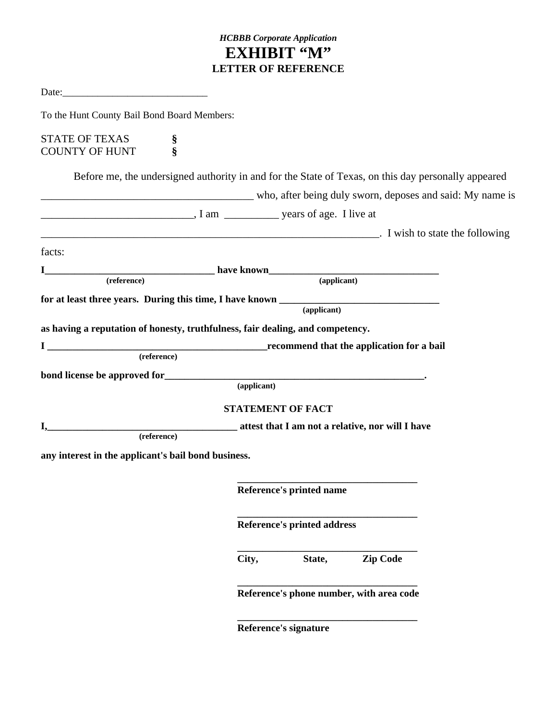## *HCBBB Corporate Application* **EXHIBIT "M" LETTER OF REFERENCE**

| To the Hunt County Bail Bond Board Members:         |                                                                                                                                                                                                                                                                                                                                                                                                                                   |  |
|-----------------------------------------------------|-----------------------------------------------------------------------------------------------------------------------------------------------------------------------------------------------------------------------------------------------------------------------------------------------------------------------------------------------------------------------------------------------------------------------------------|--|
| <b>STATE OF TEXAS</b><br><b>COUNTY OF HUNT</b>      | $\frac{\S}{\S}$                                                                                                                                                                                                                                                                                                                                                                                                                   |  |
|                                                     | Before me, the undersigned authority in and for the State of Texas, on this day personally appeared                                                                                                                                                                                                                                                                                                                               |  |
|                                                     | who, after being duly sworn, deposes and said: My name is                                                                                                                                                                                                                                                                                                                                                                         |  |
|                                                     | $\frac{1}{\sqrt{1-\frac{1}{\sqrt{1-\frac{1}{\sqrt{1-\frac{1}{\sqrt{1-\frac{1}{\sqrt{1-\frac{1}{\sqrt{1-\frac{1}{\sqrt{1-\frac{1}{\sqrt{1-\frac{1}{\sqrt{1-\frac{1}{\sqrt{1-\frac{1}{\sqrt{1-\frac{1}{\sqrt{1-\frac{1}{\sqrt{1-\frac{1}{\sqrt{1-\frac{1}{\sqrt{1-\frac{1}{\sqrt{1-\frac{1}{\sqrt{1-\frac{1}{\sqrt{1-\frac{1}{\sqrt{1-\frac{1}{\sqrt{1-\frac{1}{\sqrt{1-\frac{1}{\sqrt{1-\frac{1}{\sqrt{1-\frac{1}{\sqrt{1-\frac{1$ |  |
|                                                     | and T is a state that the following intervals and the following intervals and the following                                                                                                                                                                                                                                                                                                                                       |  |
| facts:                                              |                                                                                                                                                                                                                                                                                                                                                                                                                                   |  |
|                                                     |                                                                                                                                                                                                                                                                                                                                                                                                                                   |  |
|                                                     | I have known (reference) have known (applicant)                                                                                                                                                                                                                                                                                                                                                                                   |  |
|                                                     | $\overline{(\text{applied} n)}$                                                                                                                                                                                                                                                                                                                                                                                                   |  |
|                                                     | as having a reputation of honesty, truthfulness, fair dealing, and competency.                                                                                                                                                                                                                                                                                                                                                    |  |
|                                                     | $\begin{tabular}{c} I \end{tabular} \begin{tabular}{p{3.5cm}c} \hline \rule[0.2cm]{0cm}{0.2cm} \rule[0.2cm]{0cm}{0.2cm} \rule[0.2cm]{0cm}{0.2cm} \rule[0.2cm]{0cm}{0.2cm} \rule[0.2cm]{0cm}{0.2cm} \rule[0.2cm]{0cm}{0.2cm} \rule[0.2cm]{0cm}{0.2cm} \rule[0.2cm]{0cm}{0.2cm} \rule[0.2cm]{0cm}{0.2cm} \rule[0.2cm]{0cm}{0.2cm} \rule[0.2cm]{0cm}{0.2cm} \rule[0.2cm]{0cm}{$                                                      |  |
|                                                     |                                                                                                                                                                                                                                                                                                                                                                                                                                   |  |
|                                                     | (applicant)                                                                                                                                                                                                                                                                                                                                                                                                                       |  |
|                                                     |                                                                                                                                                                                                                                                                                                                                                                                                                                   |  |
|                                                     | <b>STATEMENT OF FACT</b>                                                                                                                                                                                                                                                                                                                                                                                                          |  |
|                                                     | (reference) attest that I am not a relative, nor will I have                                                                                                                                                                                                                                                                                                                                                                      |  |
|                                                     |                                                                                                                                                                                                                                                                                                                                                                                                                                   |  |
| any interest in the applicant's bail bond business. |                                                                                                                                                                                                                                                                                                                                                                                                                                   |  |
|                                                     |                                                                                                                                                                                                                                                                                                                                                                                                                                   |  |
|                                                     | Reference's printed name                                                                                                                                                                                                                                                                                                                                                                                                          |  |
|                                                     | <b>Reference's printed address</b>                                                                                                                                                                                                                                                                                                                                                                                                |  |
|                                                     | <b>Zip Code</b><br>City,<br>State,                                                                                                                                                                                                                                                                                                                                                                                                |  |
|                                                     | Reference's phone number, with area code                                                                                                                                                                                                                                                                                                                                                                                          |  |
|                                                     |                                                                                                                                                                                                                                                                                                                                                                                                                                   |  |

 **Reference's signature**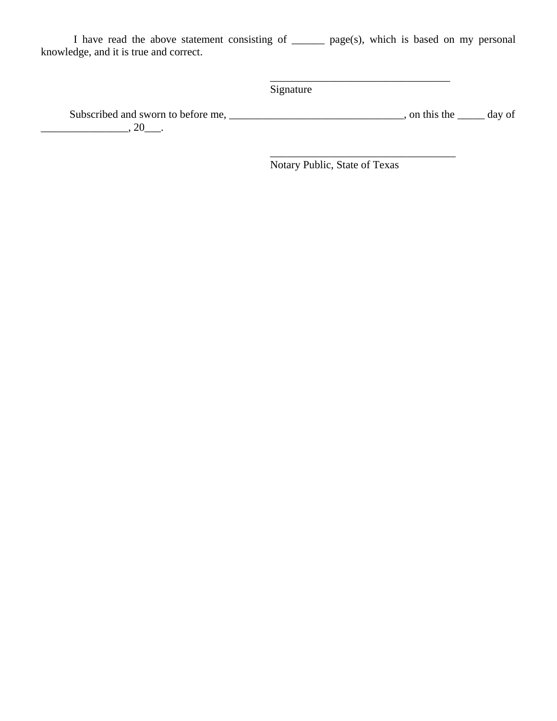I have read the above statement consisting of \_\_\_\_\_\_ page(s), which is based on my personal knowledge, and it is true and correct.

Signature

Subscribed and sworn to before me, \_\_\_\_\_\_\_\_\_\_\_\_\_\_\_\_\_\_\_\_\_\_\_\_\_\_\_\_\_\_\_\_, on this the \_\_\_\_\_\_ day of  $\overline{\phantom{a}}$ , 20 $\overline{\phantom{a}}$ .

 $\overline{\phantom{a}}$  , which is a set of the set of the set of the set of the set of the set of the set of the set of the set of the set of the set of the set of the set of the set of the set of the set of the set of the set of th

Notary Public, State of Texas

 $\_$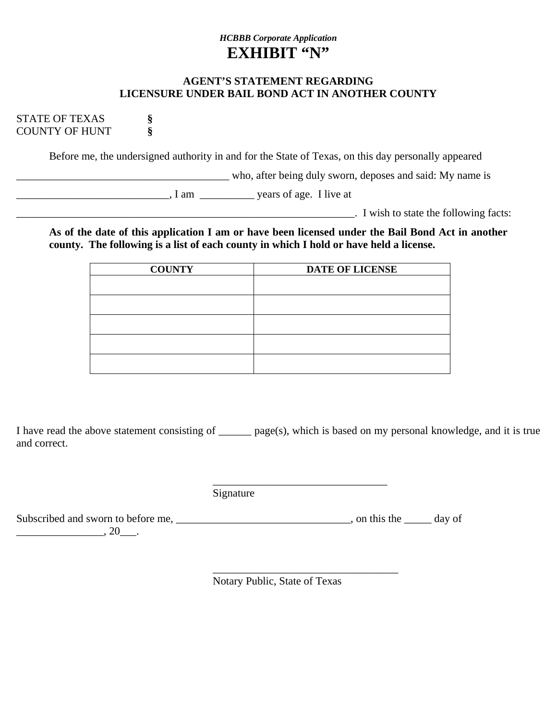## *HCBBB Corporate Application* **EXHIBIT "N"**

#### **AGENT'S STATEMENT REGARDING LICENSURE UNDER BAIL BOND ACT IN ANOTHER COUNTY**

STATE OF TEXAS **§** COUNTY OF HUNT **§**

Before me, the undersigned authority in and for the State of Texas, on this day personally appeared

\_\_\_\_\_\_\_\_\_\_\_\_\_\_\_\_\_\_\_\_\_\_\_\_\_\_\_\_\_\_\_\_\_\_\_\_\_\_\_ who, after being duly sworn, deposes and said: My name is

\_\_\_\_\_\_\_\_\_\_\_\_\_\_\_\_\_\_\_\_\_\_\_\_\_\_\_\_, I am \_\_\_\_\_\_\_\_\_\_ years of age. I live at

\_\_\_\_\_\_\_\_\_\_\_\_\_\_\_\_\_\_\_\_\_\_\_\_\_\_\_\_\_\_\_\_\_\_\_\_\_\_\_\_\_\_\_\_\_\_\_\_\_\_\_\_\_\_\_\_\_\_\_\_\_\_. I wish to state the following facts:

**As of the date of this application I am or have been licensed under the Bail Bond Act in another county. The following is a list of each county in which I hold or have held a license.** 

| <b>COUNTY</b> | <b>DATE OF LICENSE</b> |  |  |
|---------------|------------------------|--|--|
|               |                        |  |  |
|               |                        |  |  |
|               |                        |  |  |
|               |                        |  |  |
|               |                        |  |  |
|               |                        |  |  |
|               |                        |  |  |

I have read the above statement consisting of \_\_\_\_\_\_ page(s), which is based on my personal knowledge, and it is true and correct.

Signature

 $\frac{1}{2}$  , and the contract of the contract of the contract of the contract of the contract of the contract of the contract of the contract of the contract of the contract of the contract of the contract of the contract

 $\overline{\phantom{a}}$  , which is a set of the set of the set of the set of the set of the set of the set of the set of the set of the set of the set of the set of the set of the set of the set of the set of the set of the set of th

Subscribed and sworn to before me, \_\_\_\_\_\_\_\_\_\_\_\_\_\_\_\_\_\_\_\_\_\_\_\_\_\_\_\_\_\_\_, on this the \_\_\_\_\_\_ day of  $\frac{1}{20}$ , 20\_\_\_.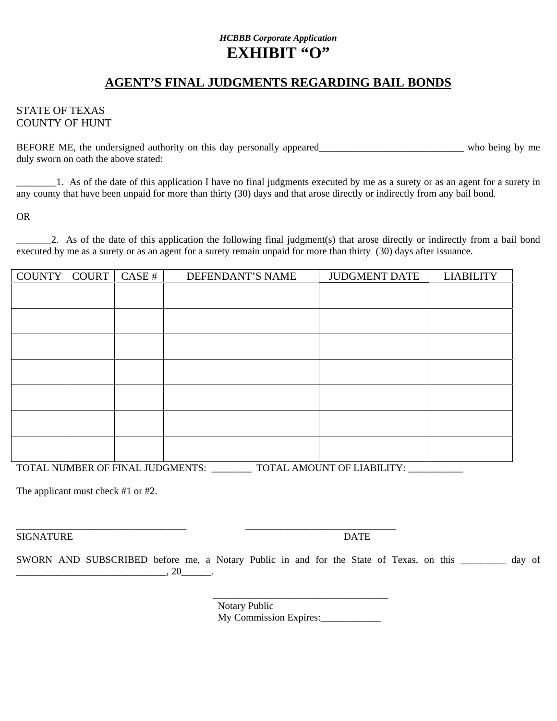## *HCBBB Corporate Application* **EXHIBIT "O"**

## **AGENT'S FINAL JUDGMENTS REGARDING BAIL BONDS**

#### STATE OF TEXAS COUNTY OF HUNT

BEFORE ME, the undersigned authority on this day personally appeared\_\_\_\_\_\_\_\_\_\_\_\_\_\_\_\_\_\_\_\_\_\_\_\_\_\_\_\_\_\_\_ who being by me duly sworn on oath the above stated:

\_\_\_\_\_\_\_\_1. As of the date of this application I have no final judgments executed by me as a surety or as an agent for a surety in any county that have been unpaid for more than thirty (30) days and that arose directly or indirectly from any bail bond.

OR

\_\_\_\_\_\_\_2. As of the date of this application the following final judgment(s) that arose directly or indirectly from a bail bond executed by me as a surety or as an agent for a surety remain unpaid for more than thirty (30) days after issuance.

| <b>COUNTY</b>                                                  | <b>COURT</b> | CASE # | DEFENDANT'S NAME | <b>JUDGMENT DATE</b> | <b>LIABILITY</b> |
|----------------------------------------------------------------|--------------|--------|------------------|----------------------|------------------|
|                                                                |              |        |                  |                      |                  |
|                                                                |              |        |                  |                      |                  |
|                                                                |              |        |                  |                      |                  |
|                                                                |              |        |                  |                      |                  |
|                                                                |              |        |                  |                      |                  |
|                                                                |              |        |                  |                      |                  |
|                                                                |              |        |                  |                      |                  |
|                                                                |              |        |                  |                      |                  |
|                                                                |              |        |                  |                      |                  |
|                                                                |              |        |                  |                      |                  |
|                                                                |              |        |                  |                      |                  |
|                                                                |              |        |                  |                      |                  |
|                                                                |              |        |                  |                      |                  |
| TOTAL NUMBER OF FINAL JUDGMENTS:<br>TOTAL AMOUNT OF LIABILITY: |              |        |                  |                      |                  |

The applicant must check #1 or #2.

SIGNATURE DATE

SWORN AND SUBSCRIBED before me, a Notary Public in and for the State of Texas, on this \_\_\_\_\_\_\_\_\_ day of \_\_\_\_\_\_\_\_\_\_\_\_\_\_\_\_\_\_\_\_\_\_\_\_\_\_\_\_\_\_, 20\_\_\_\_\_\_.

\_\_\_\_\_\_\_\_\_\_\_\_\_\_\_\_\_\_\_\_\_\_\_\_\_\_\_\_\_\_\_\_\_\_ \_\_\_\_\_\_\_\_\_\_\_\_\_\_\_\_\_\_\_\_\_\_\_\_\_\_\_\_\_\_

 Notary Public My Commission Expires:

\_\_\_\_\_\_\_\_\_\_\_\_\_\_\_\_\_\_\_\_\_\_\_\_\_\_\_\_\_\_\_\_\_\_\_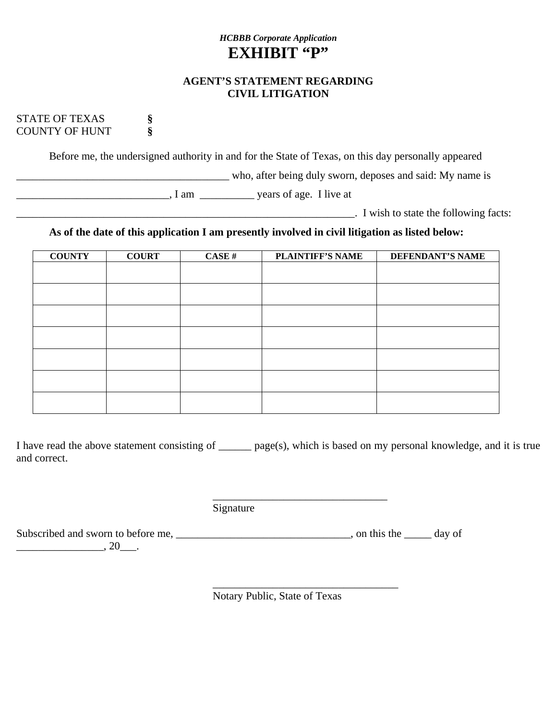## *HCBBB Corporate Application* EXHIBIT "P"

#### **AGENT'S STATEMENT REGARDING CIVIL LITIGATION**

STATE OF TEXAS **§** COUNTY OF HUNT **§**

Before me, the undersigned authority in and for the State of Texas, on this day personally appeared

\_\_\_\_\_\_\_\_\_\_\_\_\_\_\_\_\_\_\_\_\_\_\_\_\_\_\_\_\_\_\_\_\_\_\_\_\_\_\_ who, after being duly sworn, deposes and said: My name is

\_\_\_\_\_\_\_\_\_\_\_\_\_\_\_\_\_\_\_\_\_\_\_\_\_\_\_\_, I am \_\_\_\_\_\_\_\_\_\_ years of age. I live at

\_\_\_\_\_\_\_\_\_\_\_\_\_\_\_\_\_\_\_\_\_\_\_\_\_\_\_\_\_\_\_\_\_\_\_\_\_\_\_\_\_\_\_\_\_\_\_\_\_\_\_\_\_\_\_\_\_\_\_\_\_\_. I wish to state the following facts:

## **As of the date of this application I am presently involved in civil litigation as listed below:**

| <b>COUNTY</b> | <b>COURT</b> | $CASE$ # | <b>PLAINTIFF'S NAME</b> | <b>DEFENDANT'S NAME</b> |
|---------------|--------------|----------|-------------------------|-------------------------|
|               |              |          |                         |                         |
|               |              |          |                         |                         |
|               |              |          |                         |                         |
|               |              |          |                         |                         |
|               |              |          |                         |                         |
|               |              |          |                         |                         |
|               |              |          |                         |                         |
|               |              |          |                         |                         |
|               |              |          |                         |                         |
|               |              |          |                         |                         |
|               |              |          |                         |                         |
|               |              |          |                         |                         |

I have read the above statement consisting of \_\_\_\_\_\_ page(s), which is based on my personal knowledge, and it is true and correct.

Signature

 $\frac{1}{2}$  , and the contract of the contract of the contract of the contract of the contract of the contract of the contract of the contract of the contract of the contract of the contract of the contract of the contract

 $\overline{\phantom{a}}$  , which is a set of the set of the set of the set of the set of the set of the set of the set of the set of the set of the set of the set of the set of the set of the set of the set of the set of the set of th

Subscribed and sworn to before me, \_\_\_\_\_\_\_\_\_\_\_\_\_\_\_\_\_\_\_\_\_\_\_\_\_\_\_\_\_\_\_\_, on this the \_\_\_\_\_\_ day of

 $\frac{1}{20}$ , 20\_\_\_.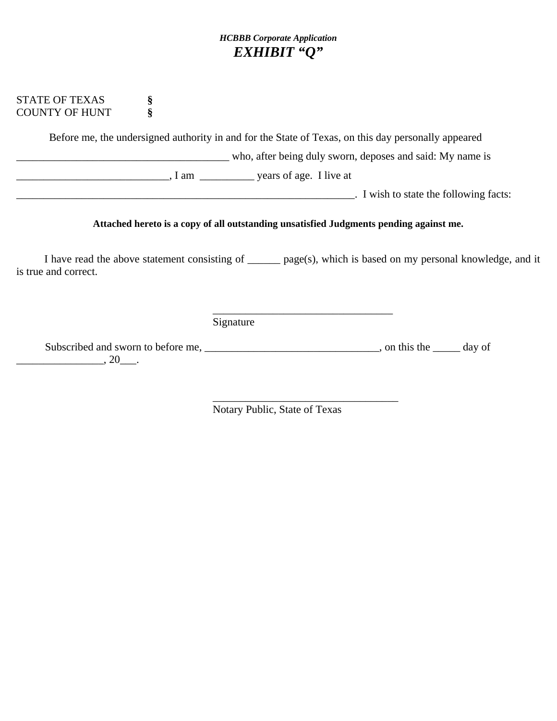## *HCBBB Corporate Application EXHIBIT "Q"*

#### STATE OF TEXAS **§** COUNTY OF HUNT **§**

Before me, the undersigned authority in and for the State of Texas, on this day personally appeared

\_\_\_\_\_\_\_\_\_\_\_\_\_\_\_\_\_\_\_\_\_\_\_\_\_\_\_\_\_\_\_\_\_\_\_\_\_\_\_ who, after being duly sworn, deposes and said: My name is

\_\_\_\_\_\_\_\_\_\_\_\_\_\_\_\_\_\_\_\_\_\_\_\_\_\_\_\_, I am \_\_\_\_\_\_\_\_\_\_ years of age. I live at

\_\_\_\_\_\_\_\_\_\_\_\_\_\_\_\_\_\_\_\_\_\_\_\_\_\_\_\_\_\_\_\_\_\_\_\_\_\_\_\_\_\_\_\_\_\_\_\_\_\_\_\_\_\_\_\_\_\_\_\_\_\_. I wish to state the following facts:

#### **Attached hereto is a copy of all outstanding unsatisfied Judgments pending against me.**

I have read the above statement consisting of \_\_\_\_\_\_ page(s), which is based on my personal knowledge, and it is true and correct.

Signature

 $\overline{\phantom{a}}$  , which is a set of the set of the set of the set of the set of the set of the set of the set of the set of the set of the set of the set of the set of the set of the set of the set of the set of the set of th

Subscribed and sworn to before me, \_\_\_\_\_\_\_\_\_\_\_\_\_\_\_\_\_\_\_\_\_\_\_\_\_\_\_\_\_\_\_, on this the \_\_\_\_\_ day of  $\frac{1}{20}$ .

 $\overline{\phantom{a}}$  , which is a set of the set of the set of the set of the set of the set of the set of the set of the set of the set of the set of the set of the set of the set of the set of the set of the set of the set of th Notary Public, State of Texas